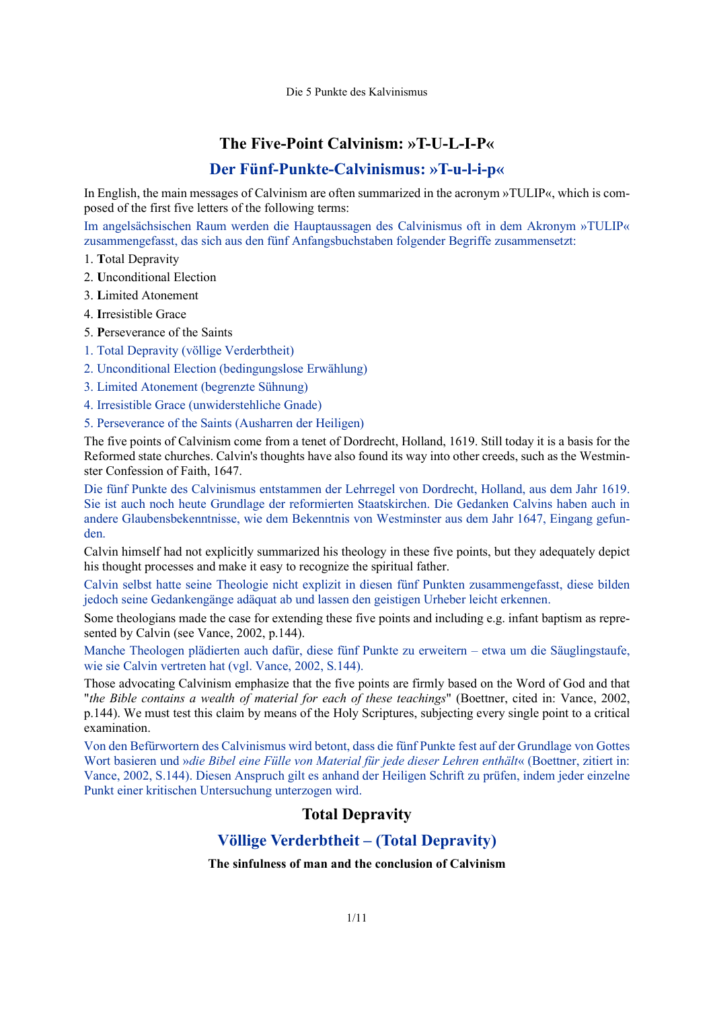# **The Five-Point Calvinism: »T-U-L-I-P«**

# **Der Fünf-Punkte-Calvinismus: »T-u-l-i-p«**

In English, the main messages of Calvinism are often summarized in the acronym »TULIP«, which is composed of the first five letters of the following terms:

Im angelsächsischen Raum werden die Hauptaussagen des Calvinismus oft in dem Akronym »TULIP« zusammengefasst, das sich aus den fünf Anfangsbuchstaben folgender Begriffe zusammensetzt:

- 1. **T**otal Depravity
- 2. **U**nconditional Election
- 3. **L**imited Atonement
- 4. **I**rresistible Grace
- 5. **P**erseverance of the Saints
- 1. Total Depravity (völlige Verderbtheit)
- 2. Unconditional Election (bedingungslose Erwählung)
- 3. Limited Atonement (begrenzte Sühnung)
- 4. Irresistible Grace (unwiderstehliche Gnade)
- 5. Perseverance of the Saints (Ausharren der Heiligen)

The five points of Calvinism come from a tenet of Dordrecht, Holland, 1619. Still today it is a basis for the Reformed state churches. Calvin's thoughts have also found its way into other creeds, such as the Westminster Confession of Faith, 1647.

Die fünf Punkte des Calvinismus entstammen der Lehrregel von Dordrecht, Holland, aus dem Jahr 1619. Sie ist auch noch heute Grundlage der reformierten Staatskirchen. Die Gedanken Calvins haben auch in andere Glaubensbekenntnisse, wie dem Bekenntnis von Westminster aus dem Jahr 1647, Eingang gefunden.

Calvin himself had not explicitly summarized his theology in these five points, but they adequately depict his thought processes and make it easy to recognize the spiritual father.

Calvin selbst hatte seine Theologie nicht explizit in diesen fünf Punkten zusammengefasst, diese bilden jedoch seine Gedankengänge adäquat ab und lassen den geistigen Urheber leicht erkennen.

Some theologians made the case for extending these five points and including e.g. infant baptism as represented by Calvin (see Vance, 2002, p.144).

Manche Theologen plädierten auch dafür, diese fünf Punkte zu erweitern – etwa um die Säuglingstaufe, wie sie Calvin vertreten hat (vgl. Vance, 2002, S.144).

Those advocating Calvinism emphasize that the five points are firmly based on the Word of God and that "*the Bible contains a wealth of material for each of these teachings*" (Boettner, cited in: Vance, 2002, p.144). We must test this claim by means of the Holy Scriptures, subjecting every single point to a critical examination.

Von den Befürwortern des Calvinismus wird betont, dass die fünf Punkte fest auf der Grundlage von Gottes Wort basieren und »*die Bibel eine Fülle von Material für jede dieser Lehren enthält*« (Boettner, zitiert in: Vance, 2002, S.144). Diesen Anspruch gilt es anhand der Heiligen Schrift zu prüfen, indem jeder einzelne Punkt einer kritischen Untersuchung unterzogen wird.

# **Total Depravity**

# **Völlige Verderbtheit – (Total Depravity)**

## **The sinfulness of man and the conclusion of Calvinism**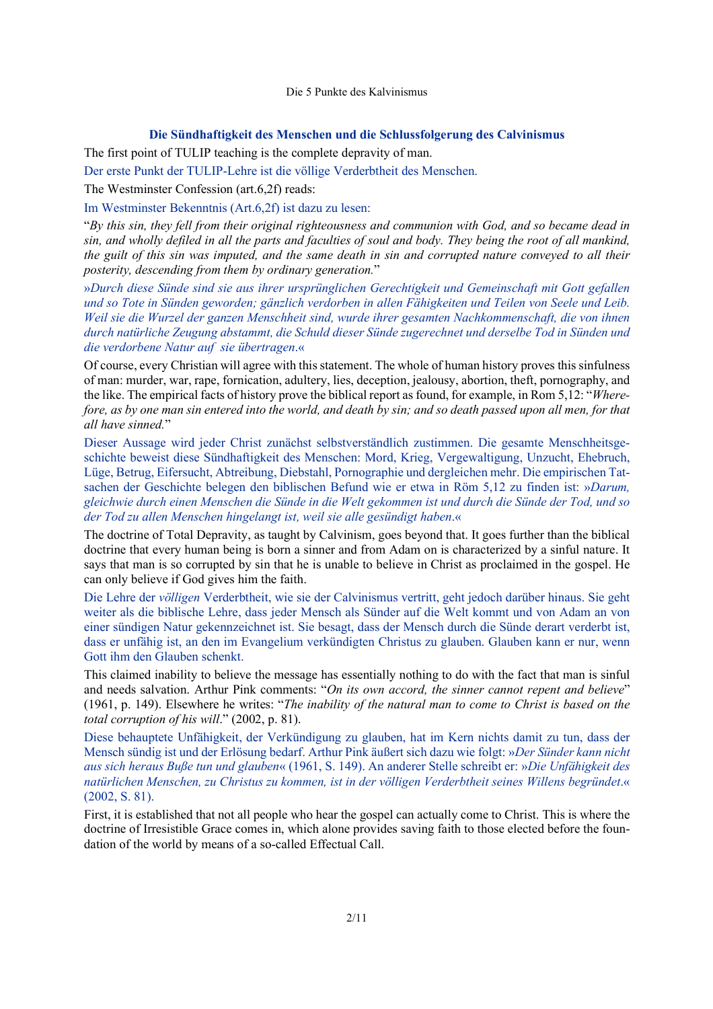#### **Die Sündhaftigkeit des Menschen und die Schlussfolgerung des Calvinismus**

The first point of TULIP teaching is the complete depravity of man.

Der erste Punkt der TULIP-Lehre ist die völlige Verderbtheit des Menschen.

The Westminster Confession (art.6,2f) reads:

Im Westminster Bekenntnis (Art.6,2f) ist dazu zu lesen:

"*By this sin, they fell from their original righteousness and communion with God, and so became dead in sin, and wholly defiled in all the parts and faculties of soul and body. They being the root of all mankind, the guilt of this sin was imputed, and the same death in sin and corrupted nature conveyed to all their posterity, descending from them by ordinary generation.*"

»*Durch diese Sünde sind sie aus ihrer ursprünglichen Gerechtigkeit und Gemeinschaft mit Gott gefallen und so Tote in Sünden geworden; gänzlich verdorben in allen Fähigkeiten und Teilen von Seele und Leib. Weil sie die Wurzel der ganzen Menschheit sind, wurde ihrer gesamten Nachkommenschaft, die von ihnen durch natürliche Zeugung abstammt, die Schuld dieser Sünde zugerechnet und derselbe Tod in Sünden und die verdorbene Natur auf sie übertragen*.«

Of course, every Christian will agree with this statement. The whole of human history proves this sinfulness of man: murder, war, rape, fornication, adultery, lies, deception, jealousy, abortion, theft, pornography, and the like. The empirical facts of history prove the biblical report as found, for example, in Rom 5,12: "*Wherefore, as by one man sin entered into the world, and death by sin; and so death passed upon all men, for that all have sinned.*"

Dieser Aussage wird jeder Christ zunächst selbstverständlich zustimmen. Die gesamte Menschheitsgeschichte beweist diese Sündhaftigkeit des Menschen: Mord, Krieg, Vergewaltigung, Unzucht, Ehebruch, Lüge, Betrug, Eifersucht, Abtreibung, Diebstahl, Pornographie und dergleichen mehr. Die empirischen Tatsachen der Geschichte belegen den biblischen Befund wie er etwa in Röm 5,12 zu finden ist: »*Darum, gleichwie durch einen Menschen die Sünde in die Welt gekommen ist und durch die Sünde der Tod, und so der Tod zu allen Menschen hingelangt ist, weil sie alle gesündigt haben*.«

The doctrine of Total Depravity, as taught by Calvinism, goes beyond that. It goes further than the biblical doctrine that every human being is born a sinner and from Adam on is characterized by a sinful nature. It says that man is so corrupted by sin that he is unable to believe in Christ as proclaimed in the gospel. He can only believe if God gives him the faith.

Die Lehre der *völligen* Verderbtheit, wie sie der Calvinismus vertritt, geht jedoch darüber hinaus. Sie geht weiter als die biblische Lehre, dass jeder Mensch als Sünder auf die Welt kommt und von Adam an von einer sündigen Natur gekennzeichnet ist. Sie besagt, dass der Mensch durch die Sünde derart verderbt ist, dass er unfähig ist, an den im Evangelium verkündigten Christus zu glauben. Glauben kann er nur, wenn Gott ihm den Glauben schenkt.

This claimed inability to believe the message has essentially nothing to do with the fact that man is sinful and needs salvation. Arthur Pink comments: "*On its own accord, the sinner cannot repent and believe*" (1961, p. 149). Elsewhere he writes: "*The inability of the natural man to come to Christ is based on the total corruption of his will*." (2002, p. 81).

Diese behauptete Unfähigkeit, der Verkündigung zu glauben, hat im Kern nichts damit zu tun, dass der Mensch sündig ist und der Erlösung bedarf. Arthur Pink äußert sich dazu wie folgt: »*Der Sünder kann nicht aus sich heraus Buße tun und glauben*« (1961, S. 149). An anderer Stelle schreibt er: »*Die Unfähigkeit des natürlichen Menschen, zu Christus zu kommen, ist in der völligen Verderbtheit seines Willens begründet*.« (2002, S. 81).

First, it is established that not all people who hear the gospel can actually come to Christ. This is where the doctrine of Irresistible Grace comes in, which alone provides saving faith to those elected before the foundation of the world by means of a so-called Effectual Call.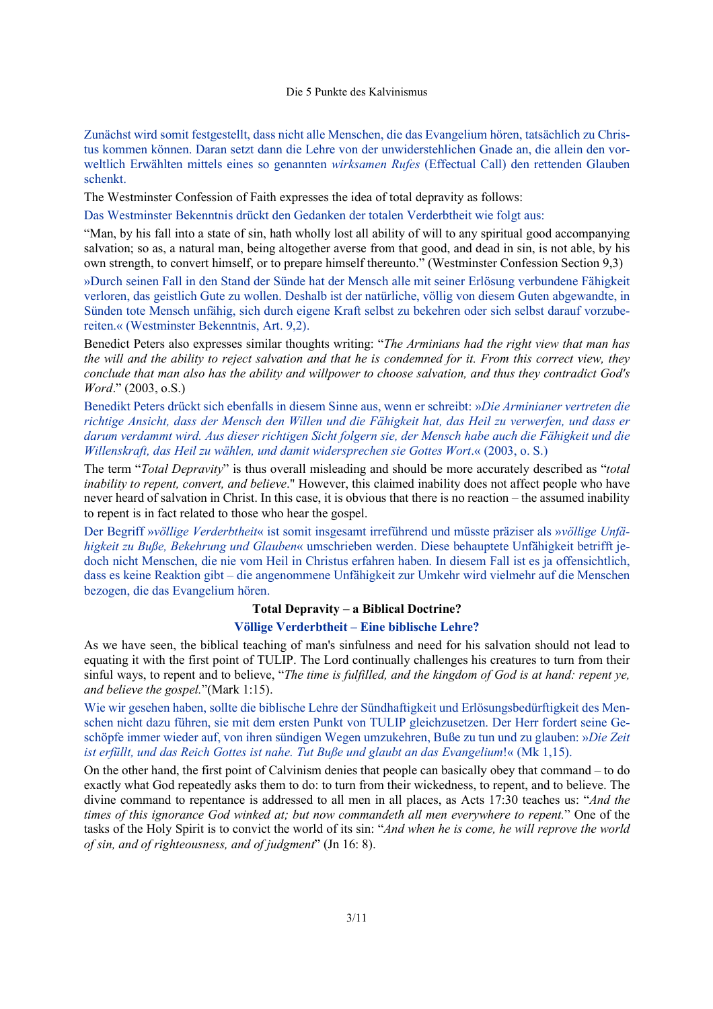Zunächst wird somit festgestellt, dass nicht alle Menschen, die das Evangelium hören, tatsächlich zu Christus kommen können. Daran setzt dann die Lehre von der unwiderstehlichen Gnade an, die allein den vorweltlich Erwählten mittels eines so genannten *wirksamen Rufes* (Effectual Call) den rettenden Glauben schenkt.

The Westminster Confession of Faith expresses the idea of total depravity as follows:

Das Westminster Bekenntnis drückt den Gedanken der totalen Verderbtheit wie folgt aus:

"Man, by his fall into a state of sin, hath wholly lost all ability of will to any spiritual good accompanying salvation; so as, a natural man, being altogether averse from that good, and dead in sin, is not able, by his own strength, to convert himself, or to prepare himself thereunto." (Westminster Confession Section 9,3)

»Durch seinen Fall in den Stand der Sünde hat der Mensch alle mit seiner Erlösung verbundene Fähigkeit verloren, das geistlich Gute zu wollen. Deshalb ist der natürliche, völlig von diesem Guten abgewandte, in Sünden tote Mensch unfähig, sich durch eigene Kraft selbst zu bekehren oder sich selbst darauf vorzubereiten.« (Westminster Bekenntnis, Art. 9,2).

Benedict Peters also expresses similar thoughts writing: "*The Arminians had the right view that man has the will and the ability to reject salvation and that he is condemned for it. From this correct view, they conclude that man also has the ability and willpower to choose salvation, and thus they contradict God's Word*." (2003, o.S.)

Benedikt Peters drückt sich ebenfalls in diesem Sinne aus, wenn er schreibt: »*Die Arminianer vertreten die richtige Ansicht, dass der Mensch den Willen und die Fähigkeit hat, das Heil zu verwerfen, und dass er darum verdammt wird. Aus dieser richtigen Sicht folgern sie, der Mensch habe auch die Fähigkeit und die Willenskraft, das Heil zu wählen, und damit widersprechen sie Gottes Wort*.« (2003, o. S.)

The term "*Total Depravity*" is thus overall misleading and should be more accurately described as "*total inability to repent, convert, and believe*." However, this claimed inability does not affect people who have never heard of salvation in Christ. In this case, it is obvious that there is no reaction – the assumed inability to repent is in fact related to those who hear the gospel.

Der Begriff »*völlige Verderbtheit*« ist somit insgesamt irreführend und müsste präziser als »*völlige Unfähigkeit zu Buße, Bekehrung und Glauben*« umschrieben werden. Diese behauptete Unfähigkeit betrifft jedoch nicht Menschen, die nie vom Heil in Christus erfahren haben. In diesem Fall ist es ja offensichtlich, dass es keine Reaktion gibt – die angenommene Unfähigkeit zur Umkehr wird vielmehr auf die Menschen bezogen, die das Evangelium hören.

### **Total Depravity – a Biblical Doctrine?**

## **Völlige Verderbtheit – Eine biblische Lehre?**

As we have seen, the biblical teaching of man's sinfulness and need for his salvation should not lead to equating it with the first point of TULIP. The Lord continually challenges his creatures to turn from their sinful ways, to repent and to believe, "*The time is fulfilled, and the kingdom of God is at hand: repent ye, and believe the gospel.*"(Mark 1:15).

Wie wir gesehen haben, sollte die biblische Lehre der Sündhaftigkeit und Erlösungsbedürftigkeit des Menschen nicht dazu führen, sie mit dem ersten Punkt von TULIP gleichzusetzen. Der Herr fordert seine Geschöpfe immer wieder auf, von ihren sündigen Wegen umzukehren, Buße zu tun und zu glauben: »*Die Zeit ist erfüllt, und das Reich Gottes ist nahe. Tut Buße und glaubt an das Evangelium*!« (Mk 1,15).

On the other hand, the first point of Calvinism denies that people can basically obey that command – to do exactly what God repeatedly asks them to do: to turn from their wickedness, to repent, and to believe. The divine command to repentance is addressed to all men in all places, as Acts 17:30 teaches us: "*And the times of this ignorance God winked at; but now commandeth all men everywhere to repent.*" One of the tasks of the Holy Spirit is to convict the world of its sin: "*And when he is come, he will reprove the world of sin, and of righteousness, and of judgment*" (Jn 16: 8).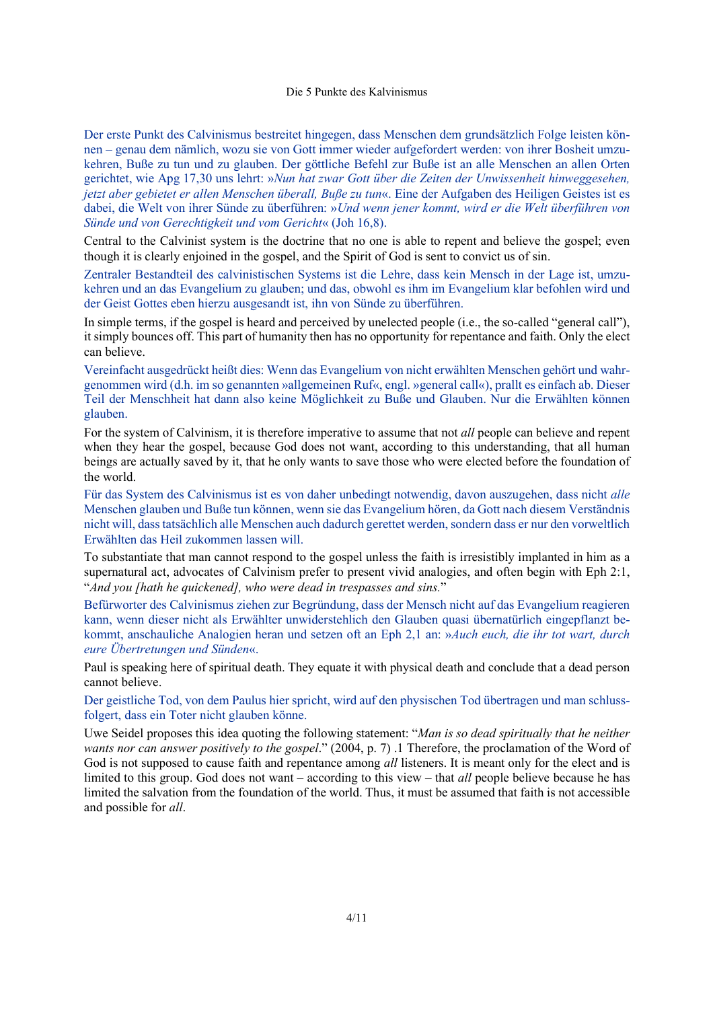Der erste Punkt des Calvinismus bestreitet hingegen, dass Menschen dem grundsätzlich Folge leisten können – genau dem nämlich, wozu sie von Gott immer wieder aufgefordert werden: von ihrer Bosheit umzukehren, Buße zu tun und zu glauben. Der göttliche Befehl zur Buße ist an alle Menschen an allen Orten gerichtet, wie Apg 17,30 uns lehrt: »*Nun hat zwar Gott über die Zeiten der Unwissenheit hinweggesehen, jetzt aber gebietet er allen Menschen überall, Buße zu tun*«. Eine der Aufgaben des Heiligen Geistes ist es dabei, die Welt von ihrer Sünde zu überführen: »*Und wenn jener kommt, wird er die Welt überführen von Sünde und von Gerechtigkeit und vom Gericht*« (Joh 16,8).

Central to the Calvinist system is the doctrine that no one is able to repent and believe the gospel; even though it is clearly enjoined in the gospel, and the Spirit of God is sent to convict us of sin.

Zentraler Bestandteil des calvinistischen Systems ist die Lehre, dass kein Mensch in der Lage ist, umzukehren und an das Evangelium zu glauben; und das, obwohl es ihm im Evangelium klar befohlen wird und der Geist Gottes eben hierzu ausgesandt ist, ihn von Sünde zu überführen.

In simple terms, if the gospel is heard and perceived by unelected people (i.e., the so-called "general call"), it simply bounces off. This part of humanity then has no opportunity for repentance and faith. Only the elect can believe.

Vereinfacht ausgedrückt heißt dies: Wenn das Evangelium von nicht erwählten Menschen gehört und wahrgenommen wird (d.h. im so genannten »allgemeinen Ruf«, engl. »general call«), prallt es einfach ab. Dieser Teil der Menschheit hat dann also keine Möglichkeit zu Buße und Glauben. Nur die Erwählten können glauben.

For the system of Calvinism, it is therefore imperative to assume that not *all* people can believe and repent when they hear the gospel, because God does not want, according to this understanding, that all human beings are actually saved by it, that he only wants to save those who were elected before the foundation of the world.

Für das System des Calvinismus ist es von daher unbedingt notwendig, davon auszugehen, dass nicht *alle* Menschen glauben und Buße tun können, wenn sie das Evangelium hören, da Gott nach diesem Verständnis nicht will, dass tatsächlich alle Menschen auch dadurch gerettet werden, sondern dass er nur den vorweltlich Erwählten das Heil zukommen lassen will.

To substantiate that man cannot respond to the gospel unless the faith is irresistibly implanted in him as a supernatural act, advocates of Calvinism prefer to present vivid analogies, and often begin with Eph 2:1, "*And you [hath he quickened], who were dead in trespasses and sins.*"

Befürworter des Calvinismus ziehen zur Begründung, dass der Mensch nicht auf das Evangelium reagieren kann, wenn dieser nicht als Erwählter unwiderstehlich den Glauben quasi übernatürlich eingepflanzt bekommt, anschauliche Analogien heran und setzen oft an Eph 2,1 an: »*Auch euch, die ihr tot wart, durch eure Übertretungen und Sünden*«.

Paul is speaking here of spiritual death. They equate it with physical death and conclude that a dead person cannot believe.

Der geistliche Tod, von dem Paulus hier spricht, wird auf den physischen Tod übertragen und man schlussfolgert, dass ein Toter nicht glauben könne.

Uwe Seidel proposes this idea quoting the following statement: "*Man is so dead spiritually that he neither wants nor can answer positively to the gospel*." (2004, p. 7) .1 Therefore, the proclamation of the Word of God is not supposed to cause faith and repentance among *all* listeners. It is meant only for the elect and is limited to this group. God does not want – according to this view – that *all* people believe because he has limited the salvation from the foundation of the world. Thus, it must be assumed that faith is not accessible and possible for *all*.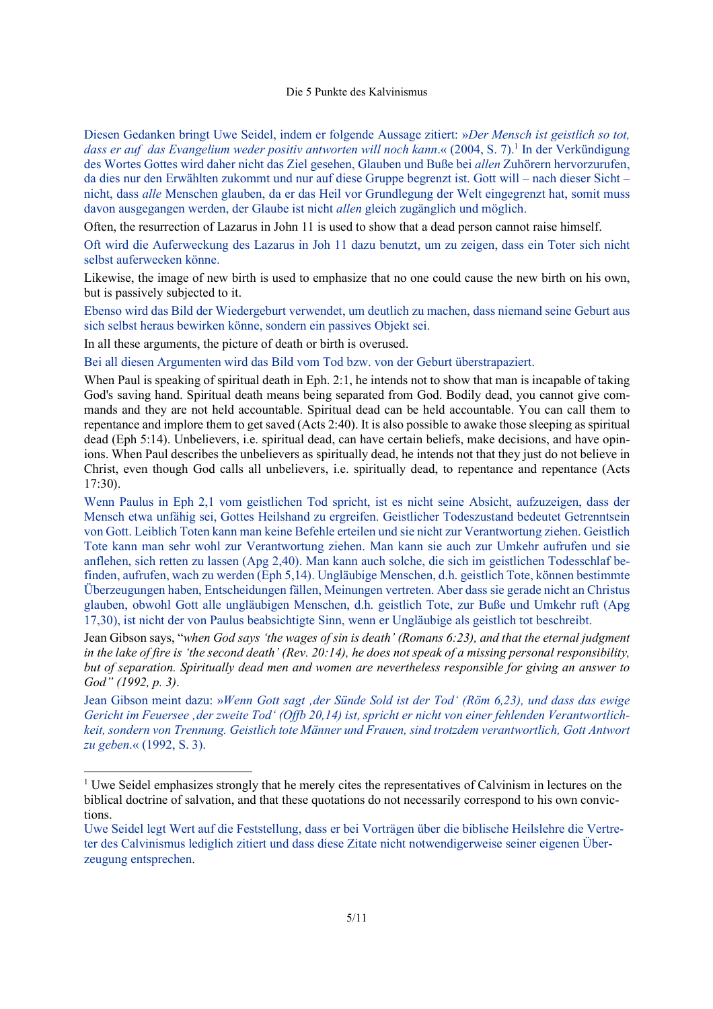Diesen Gedanken bringt Uwe Seidel, indem er folgende Aussage zitiert: »*Der Mensch ist geistlich so tot,*  dass er auf das Evangelium weder positiv antworten will noch kann.« (2004, S. 7).<sup>1</sup> In der Verkündigung des Wortes Gottes wird daher nicht das Ziel gesehen, Glauben und Buße bei *allen* Zuhörern hervorzurufen, da dies nur den Erwählten zukommt und nur auf diese Gruppe begrenzt ist. Gott will – nach dieser Sicht – nicht, dass *alle* Menschen glauben, da er das Heil vor Grundlegung der Welt eingegrenzt hat, somit muss davon ausgegangen werden, der Glaube ist nicht *allen* gleich zugänglich und möglich.

Often, the resurrection of Lazarus in John 11 is used to show that a dead person cannot raise himself.

Oft wird die Auferweckung des Lazarus in Joh 11 dazu benutzt, um zu zeigen, dass ein Toter sich nicht selbst auferwecken könne.

Likewise, the image of new birth is used to emphasize that no one could cause the new birth on his own, but is passively subjected to it.

Ebenso wird das Bild der Wiedergeburt verwendet, um deutlich zu machen, dass niemand seine Geburt aus sich selbst heraus bewirken könne, sondern ein passives Objekt sei.

In all these arguments, the picture of death or birth is overused.

Bei all diesen Argumenten wird das Bild vom Tod bzw. von der Geburt überstrapaziert.

When Paul is speaking of spiritual death in Eph. 2:1, he intends not to show that man is incapable of taking God's saving hand. Spiritual death means being separated from God. Bodily dead, you cannot give commands and they are not held accountable. Spiritual dead can be held accountable. You can call them to repentance and implore them to get saved (Acts 2:40). It is also possible to awake those sleeping as spiritual dead (Eph 5:14). Unbelievers, i.e. spiritual dead, can have certain beliefs, make decisions, and have opinions. When Paul describes the unbelievers as spiritually dead, he intends not that they just do not believe in Christ, even though God calls all unbelievers, i.e. spiritually dead, to repentance and repentance (Acts 17:30).

Wenn Paulus in Eph 2,1 vom geistlichen Tod spricht, ist es nicht seine Absicht, aufzuzeigen, dass der Mensch etwa unfähig sei, Gottes Heilshand zu ergreifen. Geistlicher Todeszustand bedeutet Getrenntsein von Gott. Leiblich Toten kann man keine Befehle erteilen und sie nicht zur Verantwortung ziehen. Geistlich Tote kann man sehr wohl zur Verantwortung ziehen. Man kann sie auch zur Umkehr aufrufen und sie anflehen, sich retten zu lassen (Apg 2,40). Man kann auch solche, die sich im geistlichen Todesschlaf befinden, aufrufen, wach zu werden (Eph 5,14). Ungläubige Menschen, d.h. geistlich Tote, können bestimmte Überzeugungen haben, Entscheidungen fällen, Meinungen vertreten. Aber dass sie gerade nicht an Christus glauben, obwohl Gott alle ungläubigen Menschen, d.h. geistlich Tote, zur Buße und Umkehr ruft (Apg 17,30), ist nicht der von Paulus beabsichtigte Sinn, wenn er Ungläubige als geistlich tot beschreibt.

Jean Gibson says, "*when God says 'the wages of sin is death' (Romans 6:23), and that the eternal judgment in the lake of fire is 'the second death' (Rev. 20:14), he does not speak of a missing personal responsibility, but of separation. Spiritually dead men and women are nevertheless responsible for giving an answer to God" (1992, p. 3)*.

Jean Gibson meint dazu: »*Wenn Gott sagt 'der Sünde Sold ist der Tod' (Röm 6,23), und dass das ewige Gericht im Feuersee 'der zweite Tod' (Offb 20,14) ist, spricht er nicht von einer fehlenden Verantwortlichkeit, sondern von Trennung. Geistlich tote Männer und Frauen, sind trotzdem verantwortlich, Gott Antwort zu geben*.« (1992, S. 3).

<sup>&</sup>lt;sup>1</sup> Uwe Seidel emphasizes strongly that he merely cites the representatives of Calvinism in lectures on the biblical doctrine of salvation, and that these quotations do not necessarily correspond to his own convictions.

Uwe Seidel legt Wert auf die Feststellung, dass er bei Vorträgen über die biblische Heilslehre die Vertreter des Calvinismus lediglich zitiert und dass diese Zitate nicht notwendigerweise seiner eigenen Überzeugung entsprechen.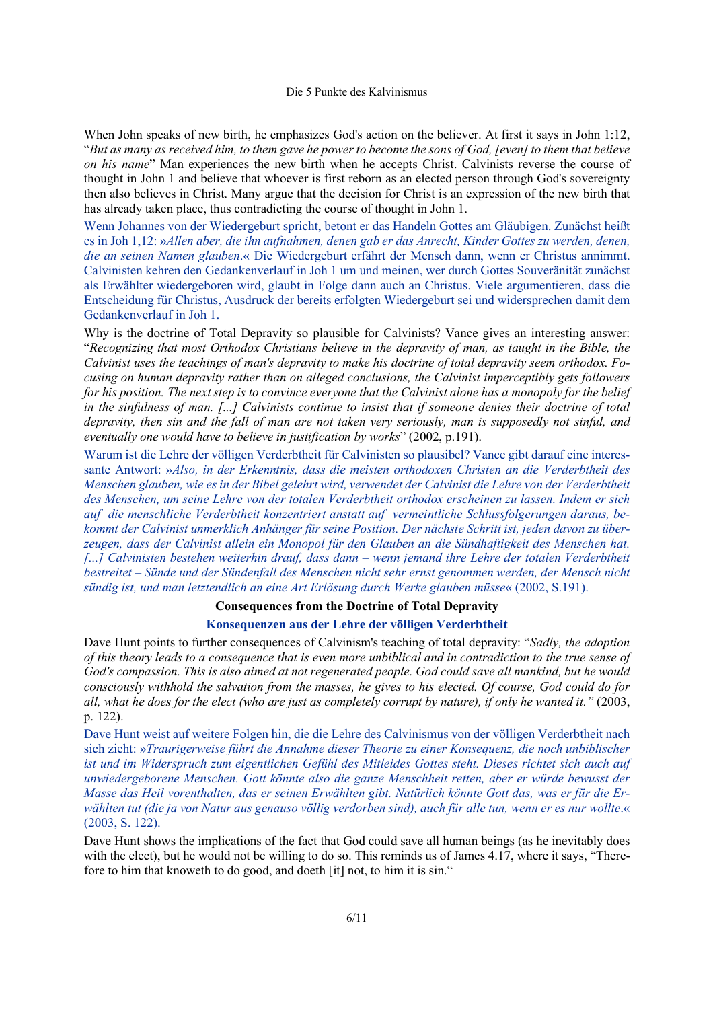When John speaks of new birth, he emphasizes God's action on the believer. At first it says in John 1:12, "*But as many as received him, to them gave he power to become the sons of God, [even] to them that believe on his name*" Man experiences the new birth when he accepts Christ. Calvinists reverse the course of thought in John 1 and believe that whoever is first reborn as an elected person through God's sovereignty then also believes in Christ. Many argue that the decision for Christ is an expression of the new birth that has already taken place, thus contradicting the course of thought in John 1.

Wenn Johannes von der Wiedergeburt spricht, betont er das Handeln Gottes am Gläubigen. Zunächst heißt es in Joh 1,12: »*Allen aber, die ihn aufnahmen, denen gab er das Anrecht, Kinder Gottes zu werden, denen, die an seinen Namen glauben*.« Die Wiedergeburt erfährt der Mensch dann, wenn er Christus annimmt. Calvinisten kehren den Gedankenverlauf in Joh 1 um und meinen, wer durch Gottes Souveränität zunächst als Erwählter wiedergeboren wird, glaubt in Folge dann auch an Christus. Viele argumentieren, dass die Entscheidung für Christus, Ausdruck der bereits erfolgten Wiedergeburt sei und widersprechen damit dem Gedankenverlauf in Joh 1.

Why is the doctrine of Total Depravity so plausible for Calvinists? Vance gives an interesting answer: "*Recognizing that most Orthodox Christians believe in the depravity of man, as taught in the Bible, the Calvinist uses the teachings of man's depravity to make his doctrine of total depravity seem orthodox. Focusing on human depravity rather than on alleged conclusions, the Calvinist imperceptibly gets followers for his position. The next step is to convince everyone that the Calvinist alone has a monopoly for the belief in the sinfulness of man. [...] Calvinists continue to insist that if someone denies their doctrine of total depravity, then sin and the fall of man are not taken very seriously, man is supposedly not sinful, and eventually one would have to believe in justification by works*" (2002, p.191).

Warum ist die Lehre der völligen Verderbtheit für Calvinisten so plausibel? Vance gibt darauf eine interessante Antwort: »*Also, in der Erkenntnis, dass die meisten orthodoxen Christen an die Verderbtheit des Menschen glauben, wie es in der Bibel gelehrt wird, verwendet der Calvinist die Lehre von der Verderbtheit des Menschen, um seine Lehre von der totalen Verderbtheit orthodox erscheinen zu lassen. Indem er sich auf die menschliche Verderbtheit konzentriert anstatt auf vermeintliche Schlussfolgerungen daraus, bekommt der Calvinist unmerklich Anhänger für seine Position. Der nächste Schritt ist, jeden davon zu überzeugen, dass der Calvinist allein ein Monopol für den Glauben an die Sündhaftigkeit des Menschen hat. [...] Calvinisten bestehen weiterhin drauf, dass dann – wenn jemand ihre Lehre der totalen Verderbtheit bestreitet – Sünde und der Sündenfall des Menschen nicht sehr ernst genommen werden, der Mensch nicht sündig ist, und man letztendlich an eine Art Erlösung durch Werke glauben müsse*« (2002, S.191).

# **Consequences from the Doctrine of Total Depravity**

### **Konsequenzen aus der Lehre der völligen Verderbtheit**

Dave Hunt points to further consequences of Calvinism's teaching of total depravity: "*Sadly, the adoption of this theory leads to a consequence that is even more unbiblical and in contradiction to the true sense of God's compassion. This is also aimed at not regenerated people. God could save all mankind, but he would consciously withhold the salvation from the masses, he gives to his elected. Of course, God could do for all, what he does for the elect (who are just as completely corrupt by nature), if only he wanted it."* (2003, p. 122).

Dave Hunt weist auf weitere Folgen hin, die die Lehre des Calvinismus von der völligen Verderbtheit nach sich zieht: »*Traurigerweise führt die Annahme dieser Theorie zu einer Konsequenz, die noch unbiblischer ist und im Widerspruch zum eigentlichen Gefühl des Mitleides Gottes steht. Dieses richtet sich auch auf unwiedergeborene Menschen. Gott könnte also die ganze Menschheit retten, aber er würde bewusst der Masse das Heil vorenthalten, das er seinen Erwählten gibt. Natürlich könnte Gott das, was er für die Erwählten tut (die ja von Natur aus genauso völlig verdorben sind), auch für alle tun, wenn er es nur wollte*.« (2003, S. 122).

Dave Hunt shows the implications of the fact that God could save all human beings (as he inevitably does with the elect), but he would not be willing to do so. This reminds us of James 4.17, where it says, "Therefore to him that knoweth to do good, and doeth [it] not, to him it is sin."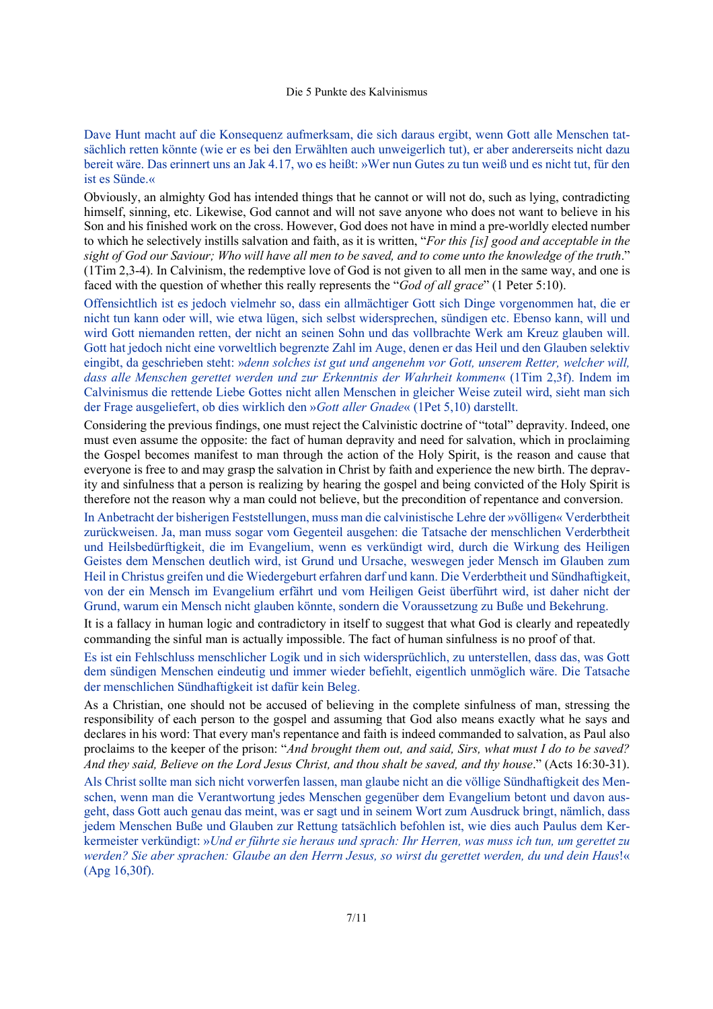Dave Hunt macht auf die Konsequenz aufmerksam, die sich daraus ergibt, wenn Gott alle Menschen tatsächlich retten könnte (wie er es bei den Erwählten auch unweigerlich tut), er aber andererseits nicht dazu bereit wäre. Das erinnert uns an Jak 4.17, wo es heißt: »Wer nun Gutes zu tun weiß und es nicht tut, für den ist es Sünde.«

Obviously, an almighty God has intended things that he cannot or will not do, such as lying, contradicting himself, sinning, etc. Likewise, God cannot and will not save anyone who does not want to believe in his Son and his finished work on the cross. However, God does not have in mind a pre-worldly elected number to which he selectively instills salvation and faith, as it is written, "*For this [is] good and acceptable in the sight of God our Saviour; Who will have all men to be saved, and to come unto the knowledge of the truth*." (1Tim 2,3-4). In Calvinism, the redemptive love of God is not given to all men in the same way, and one is faced with the question of whether this really represents the "*God of all grace*" (1 Peter 5:10).

Offensichtlich ist es jedoch vielmehr so, dass ein allmächtiger Gott sich Dinge vorgenommen hat, die er nicht tun kann oder will, wie etwa lügen, sich selbst widersprechen, sündigen etc. Ebenso kann, will und wird Gott niemanden retten, der nicht an seinen Sohn und das vollbrachte Werk am Kreuz glauben will. Gott hat jedoch nicht eine vorweltlich begrenzte Zahl im Auge, denen er das Heil und den Glauben selektiv eingibt, da geschrieben steht: »*denn solches ist gut und angenehm vor Gott, unserem Retter, welcher will, dass alle Menschen gerettet werden und zur Erkenntnis der Wahrheit kommen*« (1Tim 2,3f). Indem im Calvinismus die rettende Liebe Gottes nicht allen Menschen in gleicher Weise zuteil wird, sieht man sich der Frage ausgeliefert, ob dies wirklich den »*Gott aller Gnade*« (1Pet 5,10) darstellt.

Considering the previous findings, one must reject the Calvinistic doctrine of "total" depravity. Indeed, one must even assume the opposite: the fact of human depravity and need for salvation, which in proclaiming the Gospel becomes manifest to man through the action of the Holy Spirit, is the reason and cause that everyone is free to and may grasp the salvation in Christ by faith and experience the new birth. The depravity and sinfulness that a person is realizing by hearing the gospel and being convicted of the Holy Spirit is therefore not the reason why a man could not believe, but the precondition of repentance and conversion.

In Anbetracht der bisherigen Feststellungen, muss man die calvinistische Lehre der »völligen« Verderbtheit zurückweisen. Ja, man muss sogar vom Gegenteil ausgehen: die Tatsache der menschlichen Verderbtheit und Heilsbedürftigkeit, die im Evangelium, wenn es verkündigt wird, durch die Wirkung des Heiligen Geistes dem Menschen deutlich wird, ist Grund und Ursache, weswegen jeder Mensch im Glauben zum Heil in Christus greifen und die Wiedergeburt erfahren darf und kann. Die Verderbtheit und Sündhaftigkeit, von der ein Mensch im Evangelium erfährt und vom Heiligen Geist überführt wird, ist daher nicht der Grund, warum ein Mensch nicht glauben könnte, sondern die Voraussetzung zu Buße und Bekehrung.

It is a fallacy in human logic and contradictory in itself to suggest that what God is clearly and repeatedly commanding the sinful man is actually impossible. The fact of human sinfulness is no proof of that.

Es ist ein Fehlschluss menschlicher Logik und in sich widersprüchlich, zu unterstellen, dass das, was Gott dem sündigen Menschen eindeutig und immer wieder befiehlt, eigentlich unmöglich wäre. Die Tatsache der menschlichen Sündhaftigkeit ist dafür kein Beleg.

As a Christian, one should not be accused of believing in the complete sinfulness of man, stressing the responsibility of each person to the gospel and assuming that God also means exactly what he says and declares in his word: That every man's repentance and faith is indeed commanded to salvation, as Paul also proclaims to the keeper of the prison: "*And brought them out, and said, Sirs, what must I do to be saved? And they said, Believe on the Lord Jesus Christ, and thou shalt be saved, and thy house*." (Acts 16:30-31).

Als Christ sollte man sich nicht vorwerfen lassen, man glaube nicht an die völlige Sündhaftigkeit des Menschen, wenn man die Verantwortung jedes Menschen gegenüber dem Evangelium betont und davon ausgeht, dass Gott auch genau das meint, was er sagt und in seinem Wort zum Ausdruck bringt, nämlich, dass jedem Menschen Buße und Glauben zur Rettung tatsächlich befohlen ist, wie dies auch Paulus dem Kerkermeister verkündigt: »*Und er führte sie heraus und sprach: Ihr Herren, was muss ich tun, um gerettet zu werden? Sie aber sprachen: Glaube an den Herrn Jesus, so wirst du gerettet werden, du und dein Haus*!« (Apg 16,30f).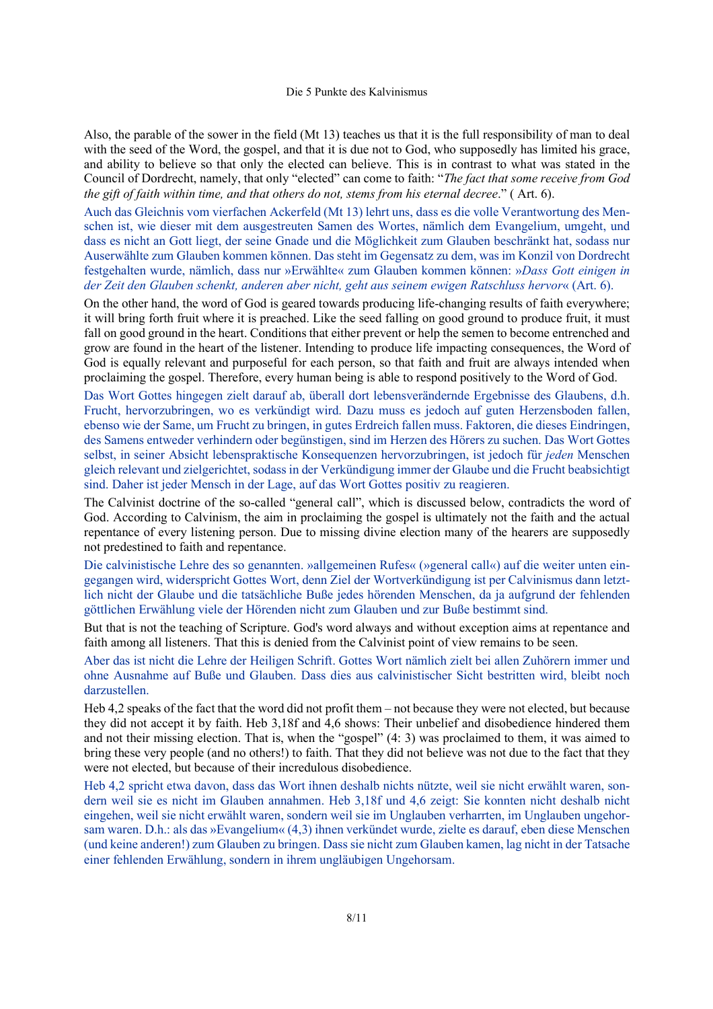Also, the parable of the sower in the field (Mt 13) teaches us that it is the full responsibility of man to deal with the seed of the Word, the gospel, and that it is due not to God, who supposedly has limited his grace, and ability to believe so that only the elected can believe. This is in contrast to what was stated in the Council of Dordrecht, namely, that only "elected" can come to faith: "*The fact that some receive from God the gift of faith within time, and that others do not, stems from his eternal decree*." ( Art. 6).

Auch das Gleichnis vom vierfachen Ackerfeld (Mt 13) lehrt uns, dass es die volle Verantwortung des Menschen ist, wie dieser mit dem ausgestreuten Samen des Wortes, nämlich dem Evangelium, umgeht, und dass es nicht an Gott liegt, der seine Gnade und die Möglichkeit zum Glauben beschränkt hat, sodass nur Auserwählte zum Glauben kommen können. Das steht im Gegensatz zu dem, was im Konzil von Dordrecht festgehalten wurde, nämlich, dass nur »Erwählte« zum Glauben kommen können: »*Dass Gott einigen in der Zeit den Glauben schenkt, anderen aber nicht, geht aus seinem ewigen Ratschluss hervor*« (Art. 6).

On the other hand, the word of God is geared towards producing life-changing results of faith everywhere; it will bring forth fruit where it is preached. Like the seed falling on good ground to produce fruit, it must fall on good ground in the heart. Conditions that either prevent or help the semen to become entrenched and grow are found in the heart of the listener. Intending to produce life impacting consequences, the Word of God is equally relevant and purposeful for each person, so that faith and fruit are always intended when proclaiming the gospel. Therefore, every human being is able to respond positively to the Word of God.

Das Wort Gottes hingegen zielt darauf ab, überall dort lebensverändernde Ergebnisse des Glaubens, d.h. Frucht, hervorzubringen, wo es verkündigt wird. Dazu muss es jedoch auf guten Herzensboden fallen, ebenso wie der Same, um Frucht zu bringen, in gutes Erdreich fallen muss. Faktoren, die dieses Eindringen, des Samens entweder verhindern oder begünstigen, sind im Herzen des Hörers zu suchen. Das Wort Gottes selbst, in seiner Absicht lebenspraktische Konsequenzen hervorzubringen, ist jedoch für *jeden* Menschen gleich relevant und zielgerichtet, sodass in der Verkündigung immer der Glaube und die Frucht beabsichtigt sind. Daher ist jeder Mensch in der Lage, auf das Wort Gottes positiv zu reagieren.

The Calvinist doctrine of the so-called "general call", which is discussed below, contradicts the word of God. According to Calvinism, the aim in proclaiming the gospel is ultimately not the faith and the actual repentance of every listening person. Due to missing divine election many of the hearers are supposedly not predestined to faith and repentance.

Die calvinistische Lehre des so genannten. »allgemeinen Rufes« (»general call«) auf die weiter unten eingegangen wird, widerspricht Gottes Wort, denn Ziel der Wortverkündigung ist per Calvinismus dann letztlich nicht der Glaube und die tatsächliche Buße jedes hörenden Menschen, da ja aufgrund der fehlenden göttlichen Erwählung viele der Hörenden nicht zum Glauben und zur Buße bestimmt sind.

But that is not the teaching of Scripture. God's word always and without exception aims at repentance and faith among all listeners. That this is denied from the Calvinist point of view remains to be seen.

Aber das ist nicht die Lehre der Heiligen Schrift. Gottes Wort nämlich zielt bei allen Zuhörern immer und ohne Ausnahme auf Buße und Glauben. Dass dies aus calvinistischer Sicht bestritten wird, bleibt noch darzustellen.

Heb 4,2 speaks of the fact that the word did not profit them – not because they were not elected, but because they did not accept it by faith. Heb 3,18f and 4,6 shows: Their unbelief and disobedience hindered them and not their missing election. That is, when the "gospel" (4: 3) was proclaimed to them, it was aimed to bring these very people (and no others!) to faith. That they did not believe was not due to the fact that they were not elected, but because of their incredulous disobedience.

Heb 4,2 spricht etwa davon, dass das Wort ihnen deshalb nichts nützte, weil sie nicht erwählt waren, sondern weil sie es nicht im Glauben annahmen. Heb 3,18f und 4,6 zeigt: Sie konnten nicht deshalb nicht eingehen, weil sie nicht erwählt waren, sondern weil sie im Unglauben verharrten, im Unglauben ungehorsam waren. D.h.: als das »Evangelium« (4,3) ihnen verkündet wurde, zielte es darauf, eben diese Menschen (und keine anderen!) zum Glauben zu bringen. Dass sie nicht zum Glauben kamen, lag nicht in der Tatsache einer fehlenden Erwählung, sondern in ihrem ungläubigen Ungehorsam.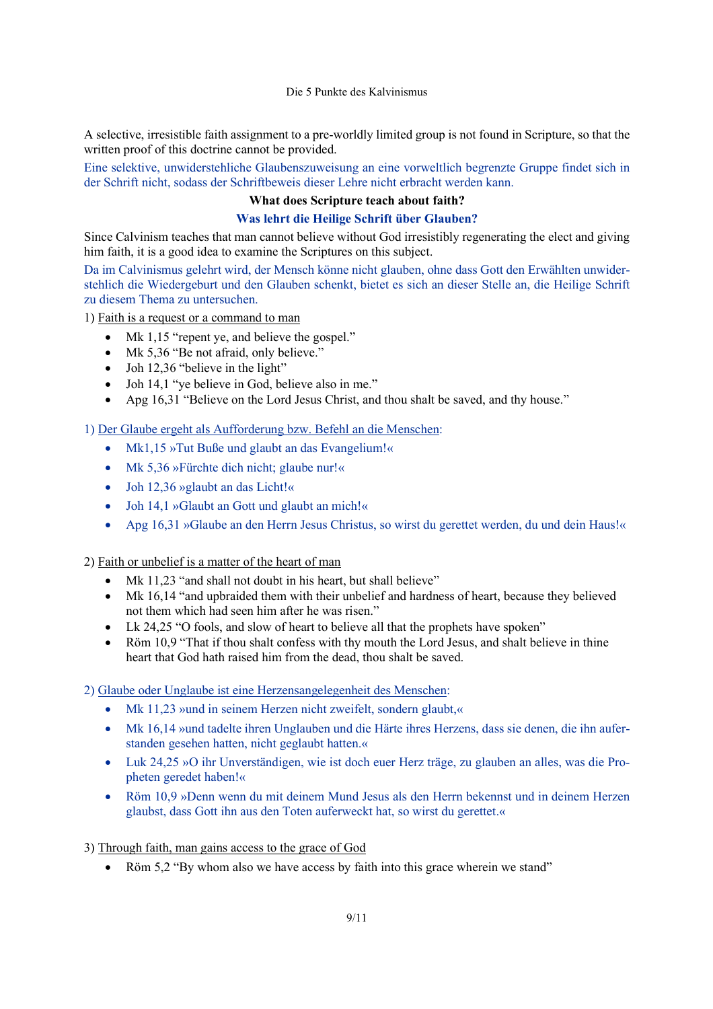A selective, irresistible faith assignment to a pre-worldly limited group is not found in Scripture, so that the written proof of this doctrine cannot be provided.

Eine selektive, unwiderstehliche Glaubenszuweisung an eine vorweltlich begrenzte Gruppe findet sich in der Schrift nicht, sodass der Schriftbeweis dieser Lehre nicht erbracht werden kann.

# **What does Scripture teach about faith?**

# **Was lehrt die Heilige Schrift über Glauben?**

Since Calvinism teaches that man cannot believe without God irresistibly regenerating the elect and giving him faith, it is a good idea to examine the Scriptures on this subject.

Da im Calvinismus gelehrt wird, der Mensch könne nicht glauben, ohne dass Gott den Erwählten unwiderstehlich die Wiedergeburt und den Glauben schenkt, bietet es sich an dieser Stelle an, die Heilige Schrift zu diesem Thema zu untersuchen.

1) Faith is a request or a command to man

- Mk 1,15 "repent ye, and believe the gospel."
- Mk 5,36 "Be not afraid, only believe."
- Joh 12,36 "believe in the light"
- Joh 14,1 "ye believe in God, believe also in me."
- Apg 16,31 "Believe on the Lord Jesus Christ, and thou shalt be saved, and thy house."

1) Der Glaube ergeht als Aufforderung bzw. Befehl an die Menschen:

- Mk1,15 »Tut Buße und glaubt an das Evangelium!«
- Mk 5,36 »Fürchte dich nicht; glaube nur!«
- Joh 12,36 »glaubt an das Licht!«
- Joh 14,1 »Glaubt an Gott und glaubt an mich!«
- Apg 16,31 »Glaube an den Herrn Jesus Christus, so wirst du gerettet werden, du und dein Haus!«

2) Faith or unbelief is a matter of the heart of man

- Mk 11,23 "and shall not doubt in his heart, but shall believe"
- Mk 16,14 "and upbraided them with their unbelief and hardness of heart, because they believed not them which had seen him after he was risen."
- Lk 24,25 "O fools, and slow of heart to believe all that the prophets have spoken"
- Röm 10,9 "That if thou shalt confess with thy mouth the Lord Jesus, and shalt believe in thine heart that God hath raised him from the dead, thou shalt be saved.

2) Glaube oder Unglaube ist eine Herzensangelegenheit des Menschen:

- Mk 11,23 »und in seinem Herzen nicht zweifelt, sondern glaubt,«
- Mk 16,14 »und tadelte ihren Unglauben und die Härte ihres Herzens, dass sie denen, die ihn auferstanden gesehen hatten, nicht geglaubt hatten.«
- Luk 24,25 »O ihr Unverständigen, wie ist doch euer Herz träge, zu glauben an alles, was die Propheten geredet haben!«
- Röm 10,9 »Denn wenn du mit deinem Mund Jesus als den Herrn bekennst und in deinem Herzen glaubst, dass Gott ihn aus den Toten auferweckt hat, so wirst du gerettet.«

# 3) Through faith, man gains access to the grace of God

Röm 5,2 "By whom also we have access by faith into this grace wherein we stand"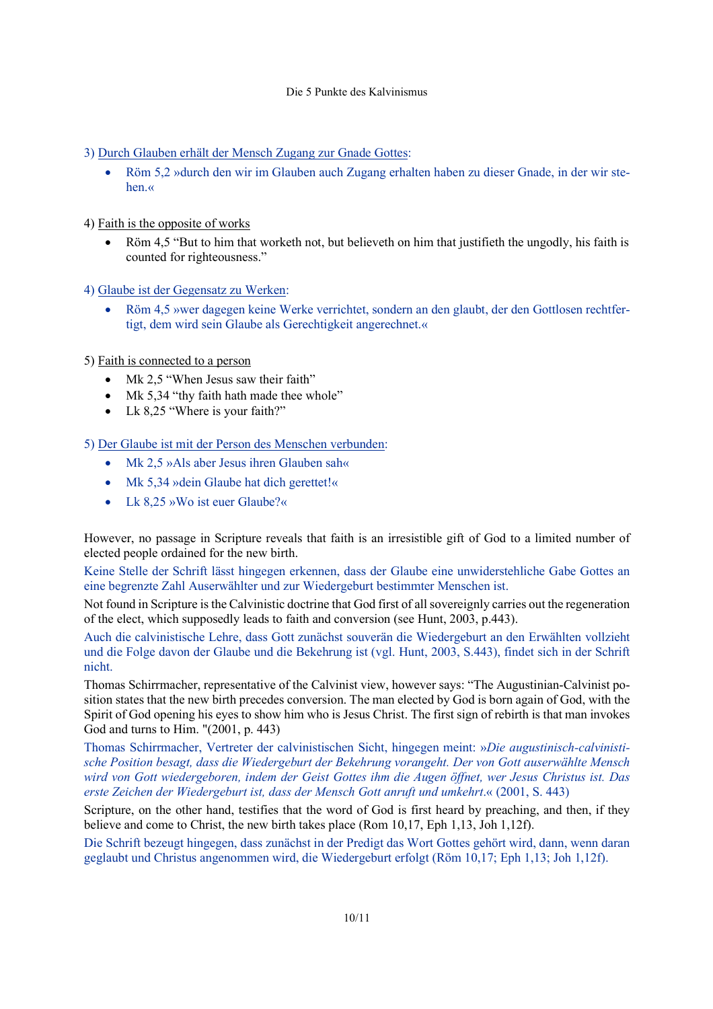- 3) Durch Glauben erhält der Mensch Zugang zur Gnade Gottes:
	- Röm 5,2 »durch den wir im Glauben auch Zugang erhalten haben zu dieser Gnade, in der wir stehen.«
- 4) Faith is the opposite of works
	- Röm 4,5 "But to him that worketh not, but believeth on him that justifieth the ungodly, his faith is counted for righteousness."
- 4) Glaube ist der Gegensatz zu Werken:
	- Röm 4,5 »wer dagegen keine Werke verrichtet, sondern an den glaubt, der den Gottlosen rechtfertigt, dem wird sein Glaube als Gerechtigkeit angerechnet.«

5) Faith is connected to a person

- Mk 2.5 "When Jesus saw their faith"
- Mk 5,34 "thy faith hath made thee whole"
- Lk 8,25 "Where is your faith?"

5) Der Glaube ist mit der Person des Menschen verbunden:

- Mk 2,5 »Als aber Jesus ihren Glauben sah«
- Mk 5,34 »dein Glaube hat dich gerettet!«
- Lk 8,25 »Wo ist euer Glaube?«

However, no passage in Scripture reveals that faith is an irresistible gift of God to a limited number of elected people ordained for the new birth.

Keine Stelle der Schrift lässt hingegen erkennen, dass der Glaube eine unwiderstehliche Gabe Gottes an eine begrenzte Zahl Auserwählter und zur Wiedergeburt bestimmter Menschen ist.

Not found in Scripture is the Calvinistic doctrine that God first of all sovereignly carries out the regeneration of the elect, which supposedly leads to faith and conversion (see Hunt, 2003, p.443).

Auch die calvinistische Lehre, dass Gott zunächst souverän die Wiedergeburt an den Erwählten vollzieht und die Folge davon der Glaube und die Bekehrung ist (vgl. Hunt, 2003, S.443), findet sich in der Schrift nicht.

Thomas Schirrmacher, representative of the Calvinist view, however says: "The Augustinian-Calvinist position states that the new birth precedes conversion. The man elected by God is born again of God, with the Spirit of God opening his eyes to show him who is Jesus Christ. The first sign of rebirth is that man invokes God and turns to Him. "(2001, p. 443)

Thomas Schirrmacher, Vertreter der calvinistischen Sicht, hingegen meint: »*Die augustinisch-calvinistische Position besagt, dass die Wiedergeburt der Bekehrung vorangeht. Der von Gott auserwählte Mensch wird von Gott wiedergeboren, indem der Geist Gottes ihm die Augen öffnet, wer Jesus Christus ist. Das erste Zeichen der Wiedergeburt ist, dass der Mensch Gott anruft und umkehrt*.« (2001, S. 443)

Scripture, on the other hand, testifies that the word of God is first heard by preaching, and then, if they believe and come to Christ, the new birth takes place (Rom 10,17, Eph 1,13, Joh 1,12f).

Die Schrift bezeugt hingegen, dass zunächst in der Predigt das Wort Gottes gehört wird, dann, wenn daran geglaubt und Christus angenommen wird, die Wiedergeburt erfolgt (Röm 10,17; Eph 1,13; Joh 1,12f).